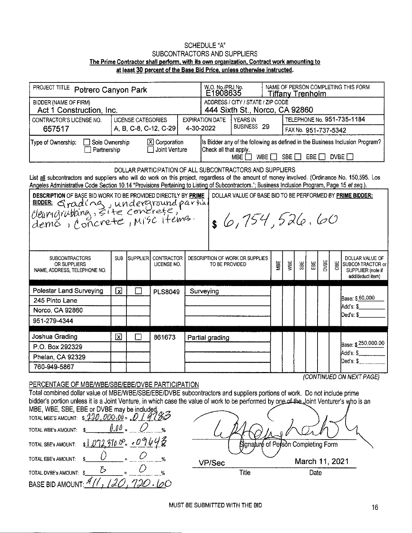## **SCHEDULE "A"** SUBCONTRACTORS AND SUPPLIERS The Prime Contractor shall perform, with its own organization, Contract work amounting to at least 30 percent of the Base Bid Price, unless otherwise instructed.

| PROJECT TITLE Potrero Canyon Park                                                                                                                                                                                                                                                                                                                             |                         |                 |                                  |  |                                                                                                                                                               | W.O. No./PRJ No.<br>NAME OF PERSON COMPLETING THIS FORM<br>E1908635<br><b>Tiffany Trenholm</b> |                      |     |                            |     |      |            |                                                                              |  |  |
|---------------------------------------------------------------------------------------------------------------------------------------------------------------------------------------------------------------------------------------------------------------------------------------------------------------------------------------------------------------|-------------------------|-----------------|----------------------------------|--|---------------------------------------------------------------------------------------------------------------------------------------------------------------|------------------------------------------------------------------------------------------------|----------------------|-----|----------------------------|-----|------|------------|------------------------------------------------------------------------------|--|--|
| <b>BIDDER (NAME OF FIRM)</b><br>Act 1 Construction, Inc.                                                                                                                                                                                                                                                                                                      |                         |                 |                                  |  |                                                                                                                                                               | ADDRESS / CITY / STATE / ZIP CODE<br>444 Sixth St., Norco, CA 92860                            |                      |     |                            |     |      |            |                                                                              |  |  |
| <b>LICENSE CATEGORIES</b><br>CONTRACTOR'S LICENSE NO.                                                                                                                                                                                                                                                                                                         |                         |                 |                                  |  |                                                                                                                                                               | YEARS IN<br><b>EXPIRATION DATE</b>                                                             |                      |     | TELEPHONE No. 951-735-1184 |     |      |            |                                                                              |  |  |
| 657517                                                                                                                                                                                                                                                                                                                                                        | A, B, C-8, C-12, C-29   |                 |                                  |  | 4-30-2022                                                                                                                                                     | BUSINESS 29                                                                                    | FAX No. 951-737-5342 |     |                            |     |      |            |                                                                              |  |  |
| Type of Ownership:<br>$\Box$ Sole Ownership<br>Partnership                                                                                                                                                                                                                                                                                                    |                         |                 | $X$ Corporation<br>Joint Venture |  | Is Bidder any of the following as defined in the Business Inclusion Program?<br>Check all that apply.<br>SBE $\Box$ EBE $\Box$ DVBE $\Box$<br>WBE    <br>MBE. |                                                                                                |                      |     |                            |     |      |            |                                                                              |  |  |
| DOLLAR PARTICIPATION OF ALL SUBCONTRACTORS AND SUPPLIERS<br>List all subcontractors and suppliers who will do work on this project, regardless of the amount of money involved. (Ordinance No. 150,595. Los<br>Angeles Administrative Code Section 10.14 "Provisions Pertaining to Listing of Subcontractors."; Business Inclusion Program, Page 15 et seq.). |                         |                 |                                  |  |                                                                                                                                                               |                                                                                                |                      |     |                            |     |      |            |                                                                              |  |  |
| DESCRIPTION OF BASE BID WORK TO BE PROVIDED DIRECTLY BY PRIME<br>DOLLAR VALUE OF BASE BID TO BE PERFORMED BY PRIME BIDDER:<br>BIDDER: Grading, site concrete,<br>6,754,526.60                                                                                                                                                                                 |                         |                 |                                  |  |                                                                                                                                                               |                                                                                                |                      |     |                            |     |      |            |                                                                              |  |  |
| <b>SUBCONTRACTORS</b><br><b>OR SUPPLIERS</b><br>NAME, ADDRESS, TELEPHONE NO.                                                                                                                                                                                                                                                                                  | <b>SUB</b>              | <b>SUPPLIER</b> | CONTRACTOR<br>LICENSE NO.        |  | DESCRIPTION OF WORK OR SUPPLIES<br>TO BE PROVIDED                                                                                                             |                                                                                                | MBE                  | WBE | $\frac{1}{28}$             | EBE | DVBE | <b>GBE</b> | DOLLAR VALUE OF<br>SUBCONTRACTOR or<br>SUPPLIER (note if<br>add/deduct item) |  |  |
| Polestar Land Surveying                                                                                                                                                                                                                                                                                                                                       | $\overline{\mathbf{x}}$ |                 | <b>PLS8049</b>                   |  | Surveying                                                                                                                                                     |                                                                                                |                      |     |                            |     |      |            |                                                                              |  |  |
| 245 Pinto Lane                                                                                                                                                                                                                                                                                                                                                |                         |                 |                                  |  |                                                                                                                                                               |                                                                                                |                      |     |                            |     |      |            | Base: \$60,000                                                               |  |  |
| Norco, CA 92860                                                                                                                                                                                                                                                                                                                                               |                         |                 |                                  |  |                                                                                                                                                               |                                                                                                |                      |     |                            |     |      |            | Add's: \$<br>Ded's: \$                                                       |  |  |
| 951-279-4344                                                                                                                                                                                                                                                                                                                                                  |                         |                 |                                  |  |                                                                                                                                                               |                                                                                                |                      |     |                            |     |      |            |                                                                              |  |  |
| Joshua Grading                                                                                                                                                                                                                                                                                                                                                | ⊠                       |                 | 861673                           |  | Partial grading                                                                                                                                               |                                                                                                |                      |     |                            |     |      |            |                                                                              |  |  |
| P.O. Box 292329                                                                                                                                                                                                                                                                                                                                               |                         |                 |                                  |  |                                                                                                                                                               |                                                                                                |                      |     |                            |     |      |            | Base: \$250,000.00<br>Add's: \$                                              |  |  |
| Phelan, CA 92329                                                                                                                                                                                                                                                                                                                                              |                         |                 |                                  |  |                                                                                                                                                               |                                                                                                |                      |     |                            |     |      |            | Ded's: \$                                                                    |  |  |
| 760-949-5867                                                                                                                                                                                                                                                                                                                                                  |                         |                 |                                  |  |                                                                                                                                                               |                                                                                                |                      |     |                            |     |      |            | (CONTINUED ON NEXT PAGE)                                                     |  |  |

## PERCENTAGE OF MBE/WBE/SBE/EBE/DVBE PARTICIPATION

Total combined dollar value of MBE/WBE/SBE/EBE/DVBE subcontractors and suppliers portions of work. Do not include prime bidder's portion unless it is a Joint Venture, in which case the value of work to be performed by one of the Joint Venturer's who is an MBE, WBE, SBE, EBE or DVBE may be included,<br>TOTAL MBE'S AMOUNT: \$  $11000, 00 = 0197$  $0.00$ 7) TOTAL WBE's AMOUNT:  $\theta_0$  $310.0^{\circ}$  0 16 TOTAL SBE's AMOUNT: s l of Person Completing Form Ŏ **TOTAL EBE's AMOUNT:** 

 $\delta$ TOTAL DVBE's AMOUNT: \$  $20.$  $720.100$ **BASE BID AMOUNT:** 

March 11, 2021 **VP/Sec** Title Date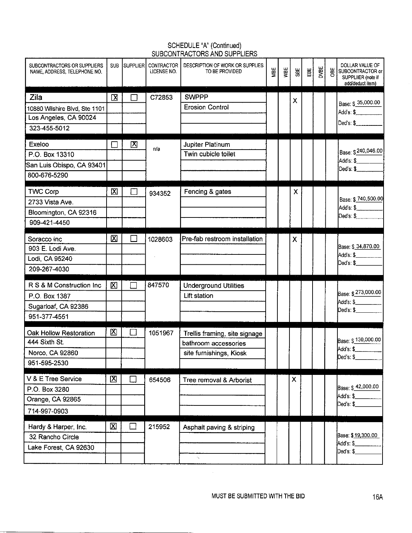## SCHEDULE "A" (Continued) SUBCONTRACTORS AND SUPPLIERS

| SUBCONTRACTORS OR SUPPLIERS<br>NAME, ADDRESS, TELEPHONE NO.                       | <b>SUB</b>   |             | <b>SUPPLIER CONTRACTOR</b><br>LICENSE NO. | DESCRIPTION OF WORK OR SUPPLIES<br>TO BE PROVIDED                                | MBE | WBE | SE | 昆 | DVBE | <b>OBE</b> | DOLLAR VALUE OF<br>SUBCONTRACTOR or<br>SUPPLIIER (note if<br>add/deduct item) |
|-----------------------------------------------------------------------------------|--------------|-------------|-------------------------------------------|----------------------------------------------------------------------------------|-----|-----|----|---|------|------------|-------------------------------------------------------------------------------|
| Zila<br>10880 Wilshire Blvd, Ste 1101<br>Los Angeles, CA 90024<br>323-455-5012    | 区            |             | C72853                                    | <b>SWPPP</b><br><b>Erosion Control</b>                                           |     |     | X  |   |      |            | Base: \$ 35,000.00<br>Add's: \$<br>Ded's $\frac{6}{2}$                        |
| Exeloo<br>P.O. Box 13310<br>San Luis Obispo, CA 93401<br>800-676-5290             |              | $\boxtimes$ | n/a                                       | Jupiter Platinum<br>Twin cubicle toilet                                          |     |     |    |   |      |            | Base: \$240,046.00<br>Add's: \$_______<br>Deďs: \$                            |
| <b>TWC Corp</b><br>2733 Vista Ave.<br>Bloomington, CA 92316<br>909-421-4450       | $\boxtimes$  |             | 934352                                    | Fencing & gates                                                                  |     |     | X  |   |      |            | Base: \$ 740,500.00<br>Add's: \$<br>Ded's: $$$                                |
| Soracco inc<br>903 E. Lodi Ave.<br>Lodi, CA 95240<br>209-267-4030                 | 図            |             | 1028603                                   | Pre-fab restroom installation                                                    |     |     | Χ  |   |      |            | Base: \$ 34,870.00<br>Add's: \$_______<br>Ded's: $\frac{6}{2}$                |
| R S & M Construction Inc.<br>P.O. Box 1387<br>Sugarloaf, CA 92386<br>951-377-4551 | 図            |             | 847570                                    | <b>Underground Utilities</b><br>Lift station                                     |     |     |    |   |      |            | Base: \$273,000.00<br>Add's: \$________<br>Ded's: \$                          |
| Oak Hollow Restoration<br>444 Sixth St.<br>Norco, CA 92860<br>951-595-2530        | 図            | - 1         | 1051967                                   | Trellis framing, site signage<br>bathroom accessories<br>site furnishings, Kiosk |     |     |    |   |      |            | Base: \$130,000.00<br>Add's: \$________<br>Ded's: \$                          |
| V & E Tree Service<br>P.O. Box 3280<br>Orange, CA 92865<br>714-997-0903           | $\mathbf{X}$ | $\Box$      | 654506                                    | Tree removal & Arborist                                                          |     |     | Х  |   |      |            | Base: \$_42,000.00<br>Add's: \$<br>Ded's: \$                                  |
| Hardy & Harper, Inc.<br>32 Rancho Circle<br>Lake Forest, CA 92630                 | 図            | ΙI          | 215952                                    | Asphalt paving & striping<br>٠.,                                                 |     |     |    |   |      |            | Base: \$19,300.00<br>Adds: \$<br>Ded's: \$____                                |